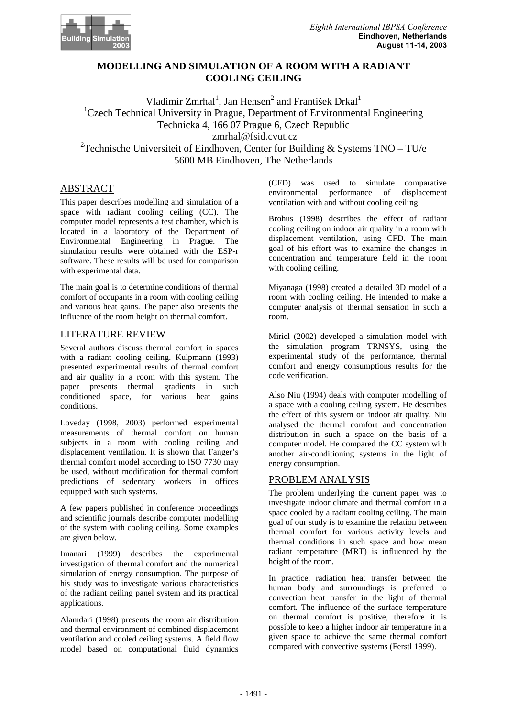

# **MODELLING AND SIMULATION OF A ROOM WITH A RADIANT COOLING CEILING**

Vladimír $Zm$ rhal <sup>1</sup>, Jan Hensen  $\alpha$ <sup>2</sup>and František Drkal  $\alpha$ <sup>1</sup>  $1C$ zech Technical University in Prague, Department of Environmental Engineerin g Technicka 4, 16607 Prague 6, Czech Republic zmrhal@fsid.cvut.cz  $2^2$ Technische Universiteit of Eindhoven, Center for Building & Systems TNO-TU/ e 5600 MB Eindhoven, The Netherlands

# ABSTRACT

This paper describes modelling and simulation of a space with radiant cooling ceiling (CC). The computer model represents a test chamber, which is located in a laboratory of the Department of Environmental Engineering in Prague. The simulation results were obtained with the ESP-r software. These results will be used for comparison with experimental data.

The main goal is to determine conditions of thermal comfort of occupants in a room with cooling ceiling and various heat gains. The paper also presents the influence of the room height on the rmal comfort.

### LITERATUREREVIEW

Several authors discuss thermal comfort in spaces with a radiant cooling ceiling. Kulpmann (1993) presented experimental results of thermal comfort and air quality in a room with this system. The paper presents thermal gradients in such conditioned space, for various heat gains conditions.

Loveday (1998, 2003) performed experimental measurements of thermal comfort on human subjects in a room with cooling ceiling and displacement ventilation. It is shown that Fanger's thermal comfort model according to ISO 7730 may be used, without modification for thermal comfort predictions of sedentary workers in offices equipped with such systems.

A few papers published in conference proceedings and scientific journals describe computer modelling of the system with cooling ceiling. Some examples are given below.

Imanari (1999) describes the experimental investigation of thermal comfort and the numerical simulation of energy consumption. The purpose of his study was to investigate various characteristic s of the radiant ceiling panel system and its practic al applications.

Alamdari (1998) presents the room air distribution and thermal environment of combined displacement ventilation and cooled ceiling systems. A field flowww model based on computational fluid dynamics

(CFD) was used to simulate comparative environmental performance of displacement ventilation with and without cooling ceiling.

Brohus (1998) describes the effect of radiant cooling ceiling on indoor air quality in a room wit h displacement ventilation, using CFD. The main goal of his effort was to examine the changes in concentration and temperature field in the room with cooling ceiling.

Miyanaga (1998) created a detailed 3D model of a room with cooling ceiling. He intended to make a computer analysis of thermal sensation in such a room.

Miriel (2002) developed a simulation model with the simulation program TRNSYS, using the experimental study of the performance, thermal comfort and energy consumptions results for the code verification.

Also Niu (1994) deals with computer modelling of aspace with a cooling ceiling system. He describes the effect of this system on indoor air quality. Ni u analysed the thermal comfort and concentration distribution in such a space on the basis of a computer model. He compared the CC system with another air-conditioning systems in the light of energy consumption.

# **PROBLEMANALYSIS**

The problem underlying the current paper was to investigate indoor climate and thermal comfort in a space cooled by a radiant cooling ceiling. The main goal of our study is to examine the relation betwee n thermal comfort for various activity levels and thermal conditions in such space and how mean radiant temperature (MRT) is influenced by the height of the room.

In practice, radiation heat transfer between the human body and surroundings is preferred to convection heat transfer in the light of thermal comfort. The influence of the surface temperature on thermal comfort is positive, therefore it is possible to keep a higher indoor air temperature in a given space to achieve the same thermal comfort compared with convective systems (Ferstl 1999).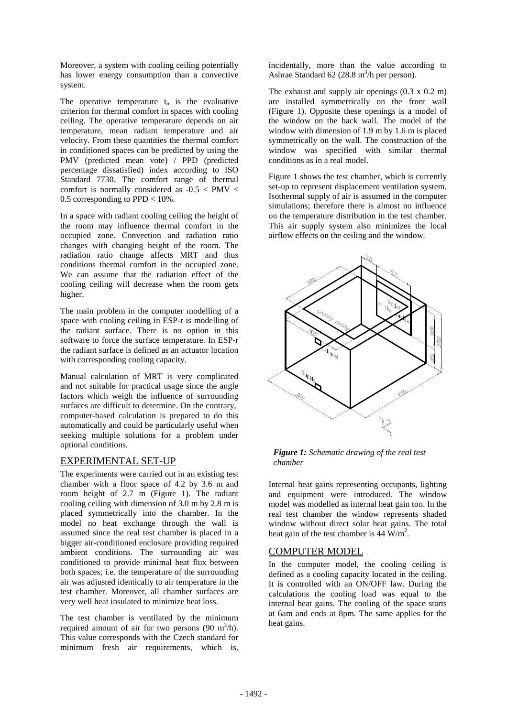Moreover, asystem with cooling ceiling potentially has lower energy consumption than a convective system.

The operative temperature  $t_0$  is the evaluative criterion for thermal comfort in spaces with coolin g ceiling. The operative temperature depends on air temperature, mean radiant temperature and air velocity. From these quantities the thermal comfort in conditioned spaces can be predicted by using the PMV (predicted mean vote) / PPD (predicted percentage dissatisfied) index according to ISO Standard 7730. The comfort range of thermal comfort is normally considered as -0.5 < PMV < 0.5 corresponding to PPD<10%.

In a space with radiant cooling ceiling the height of the room may influence thermal comfort in the occupied zone. Convection and radiation ratio changes with changing height of the room. The radiation ratio change affects MRT and thus conditions thermal comfort in the occupied zone. We can assume that the radiation effect of the cooling ceiling will decrease when the room gets higher.

The main problem in the computer modelling of a space with cooling ceiling in ESP-r is modelling of the radiant surface. There is no option in this software to force the surface temperature. In ESP-r the radiantsurface is defined as an actuator locat ion with corresponding cooling capacity.

Manual calculation of MRT is very complicated and not suitable for practical usage since the angl e factors which weigh the influence of surrounding surfaces are difficult to determine. On the contrar v, computer-based calculation is prepared to do this automatically and could be particularly useful when seeking multiple solutions for a problem under optional conditions.

# EXPERIMENTALSET-UP

The experiments were carried out in an existing tes the chamber with a floor space of  $4.2 \text{ hv } 3.6 \text{ m}$  and chamber with a floor space of  $4.2$  by  $3.6$  m room height of 2.7 m (Figure 1). The radiant cooling ceiling with dimension of 3.0 m by 2.8 m is placed symmetrically into the chamber. In the model no heat exchange through the wall is assumed since the real test chamber is placed in a biggerair-conditioned enclosure providing required ambient conditions. The surrounding air was conditioned to provide minimal heat flux between both spaces; i.e. the temperature of the surround in g airwas adjusted identically to air temperature in the test chamber. Moreover, all chamber surfaces are very well heatin sulated to minimize heatloss.

The test chamber is ventilated by the minimum required amount of air for two persons (90 m <sup>3</sup>  $\frac{3}{h}$ . This value corresponds with the Czech standard for minimum fresh air requirements, which is,

incidentally, more than the value according to Ashrae Standard  $62(28.8 \text{m} \quad \text{3/hp}$  erperson).

The exhaust and supply air openings  $(0.3 \times 0.2 \text{ m})$ are installed symmetrically on the front wall (Figure 1). Opposite these openings is a model of the window on the back wall. The model of the window with dimension of 1.9 m by 1.6 misplaced symmetrically on the wall. The construction of the window was specified with similar thermal conditions as in a real model.

Figure 1 shows the test chamber, which is currently set-up to represent displacement ventilation system Isothermal supply of air is assumed in the computer simulations; therefore there is almost no influence on the temperature distribution in the test chamber . This air supply system also minimizes the local airflow effects on the ceiling and the window.



*Figure 1: Schematic drawing of the real test chamber*

Internal heat gains representing occupants, lightin g and equipment were introduced. The window model was modelled as internal heat gain too. In the e real test chamber the window represents shaded window without direct solar heat gains. The total heatgain of the test chamber is 44 W/m .

### **COMPUTERMODEL**

In the computer model, the cooling ceiling is defined as a cooling capacity located in the ceilin g. It is controlled with an ON/OFF law. During the calculations the cooling load was equal to the  $internal heat gains. The cooling of the space start s$ at 6am and ends at 8pm. The same applies for the heatgains.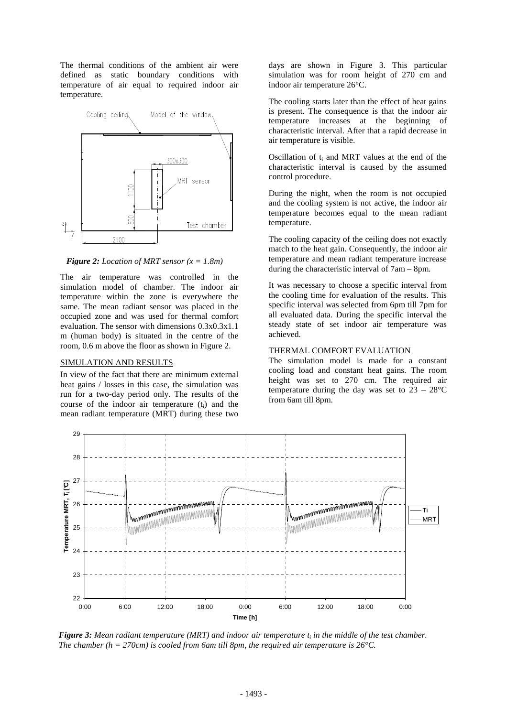The thermal conditions of the ambient air were defined as static boundary conditions with temperature of air equal to required indoor air temperature.



*Figure 2: Location of MRT sensor (x = 1.8m)*

The air temperature was controlled in the simulation model of chamber. The indoor air temperature within the zone is everywhere the same. The mean radiant sensor was placed in the occupied zone and was used for thermal comfort evaluation. Thesensor with dimensions 0.3x0.3x1.1 m (human body) is situated in the centre of the room, 0.6 m above the flooras shown in Figure 2.

#### SIMULATION AND RESULTS

In view of the fact that there are minimum external heat gains / losses in this case, the simulation wa s run for a two-day period only. The results of the course of the indoor air temperature  $(t_i)$  and the mean radiant temperature (MRT) during these two

days are shown in Figure 3. This particular simulation was for room height of 270 cm and indoorair temperature 26°C.

The cooling starts later than the effect of heat ga ins is present. The consequence is that the indoor air temperature increases at the beginning of characteristic interval. After that a rapid decreas ein airtemperatureis visible.

Oscillation of t<sub>i</sub> and MRT values at the end of the characteristic interval is caused by the assumed control procedure.

During the night, when the room is not occupied and the cooling system is not active, the indoor ai r temperature becomes equal to the mean radiant temperature.

The cooling capacity of the ceiling does not exactl y match to the heat gain. Consequently, the indoorai r temperature and mean radiant temperature increase during the characteristic interval of 7 am – 8pm.

It was necessary to choose a specific interval from the cooling time for evaluation of the results. Thi s specific interval was selected from 6pm till 7pm fo r all evaluated data. During the specific interval the e steady state of set indoor air temperature was achieved.

### **THERMAL COMFORTEVALUATION**

The simulation model is made for a constant cooling load and constant heat gains. The room height was set to 270 cm. The required air temperature during the day was set to  $23 - 28$ °C from 6am till 8pm.



*Figure 3: Meanradiant temperature* (*MRT*) and *indoorairtemp in the middle of the test chamber. The chamber (h = 270cm) is cooled from 6am till 8pm , the required air temperature is 26°C.*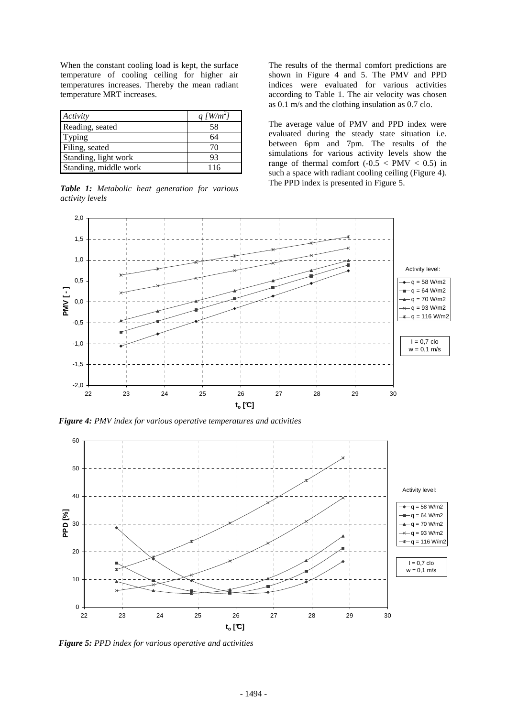When the constant cooling load is kept, the surface temperature of cooling ceiling for higher air temperatures increases. Thereby the mean radiant temperature MRT increases.

| Activity             | $aW$ /m |
|----------------------|---------|
| Reading, seated      | 58      |
| Typing               | 64      |
| Filing, seated       | 70      |
| Standing, lightwork  | 93      |
| Standing, middlework | 116     |

*Table 1: Metabolic heat generation for various activity levels* 

The results of the thermal comfort predictions are shown in Figure 4 and 5. The PMV and PPD indices were evaluated for various activities according to Table 1. The air velocity was chosen as 0.1 m/s and the clothing insulation as 0.7 clo.

The average value of PMV and PPD index were evaluated during the steady state situation i.e. between 6pm and 7pm. The results of the simulations for various activity levels show the range of thermal comfort  $(-0.5 < PMV < 0.5)$  in  $such a space with radiation cooling ceiling (Figure 4)$ . The PPD index is presented in Figure 5.



*Figure 4: PMV index for various operative temperatures and a ctivities* 



*Figure 5: PPD index for various operative and activities*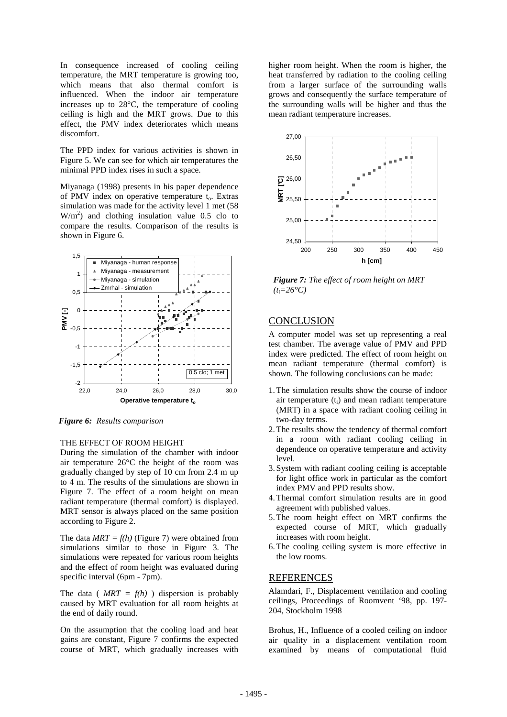In consequence increased of cooling ceiling temperature, the MRT temperature is growing too, which means that also thermal comfort is influenced. When the indoor air temperature increases up to 28°C, the temperature of cooling ceiling is high and the MRT grows. Due to this effect, the PMV index deteriorates which means discomfort.

The PPD index for various activities is shown in Figure 5. We can see for which air temperatures the minimal PPD index rises in such a space.

Miyanaga (1998) presents in his paper dependence<br>of PMV index on operative temperature t  $\alpha$ . Extras of PMV index on operative temperature t  $simulation was made for the activity level 1 met (5<sub>8</sub>)$  $W/m<sup>2</sup>$ ) and clothing insulation value 0.5 clo to compare the results. Comparison of the results is shownin Figure 6.



*Figure 6: Results comparison*

#### **THE EFFECT OF ROOM HEIGHT**

During the simulation of the chamber with indoor air temperature 26°C the height of the room was gradually changed by step of 10 cm from 2.4 m up to 4 m. The results of the simulations are shown in Figure 7. The effect of a room height on mean radiant temperature (thermal comfort) is displayed. MRT sensor is always placed on the same position according to Figure 2.

The data *MRT = f(h)* (Figure 7) were obtained from simulations similar to those in Figure 3. The simulations were repeated for various room heights and the effect of room height was evaluated during specific interval (6pm-7pm).

The data ( $MRT = f(h)$ ) dispersion is probably caused by MRT evaluation for all room heights at the end of daily round.

On the assumption that the cooling load and heat gains are constant, Figure 7 confirms the expected course of MRT, which gradually increases with

higher room height. When the room is higher, the heat transferred by radiation to the cooling ceilin g from a larger surface of the surrounding walls grows and consequently the surface temperature of the surrounding walls will be higher and thus the meanradiant temperature increases.



*Figure 7: The effect of room height on MRT (ti=26°C)*

### **CONCLUSION**

A computer model was set up representing a real test chamber. The average value of PMV and PPD index were predicted. The effect of room height on mean radiant temperature (thermal comfort) is shown. The following conclusions can be made:

- 1. The simulation results show the course of indoor air temperature  $(t_i)$  and mean radiant temperature (MRT) in a space with radiant cooling ceiling in two-dayterms.
- 2. The results show the tendency of thermal comfort in a room with radiant cooling ceiling in dependence on operative temperature and activity level.
- 3. System with radiant cooling ceiling is acceptabl e for light office work in particular as the comfort index PMV and PPD results show.
- 4. Thermal comfort simulation results are in good agreement with published values.
- 5. The room height effect on MRT confirms the expected course of MRT, which gradually increases with roomheight.
- 6. The cooling ceiling system is more effective in the lowrooms.

### REFERENCES

Alamdari, F., Displacement ventilation and cooling ceilings, Proceedings of Roomvent '98, pp. 197- 204, Stockholm 1998

Brohus, H., Influence of a cooled ceiling on indoor air quality in a displacement ventilation room examined by means of computational fluid